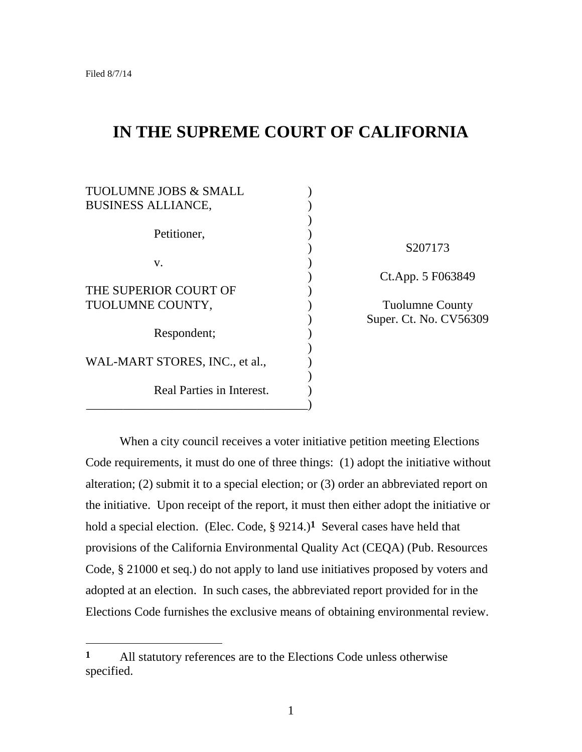# **IN THE SUPREME COURT OF CALIFORNIA**

| <b>TUOLUMNE JOBS &amp; SMALL</b><br><b>BUSINESS ALLIANCE,</b> |  |
|---------------------------------------------------------------|--|
| Petitioner,                                                   |  |
| V.                                                            |  |
| THE SUPERIOR COURT OF<br>TUOLUMNE COUNTY,                     |  |
| Respondent;                                                   |  |
| WAL-MART STORES, INC., et al.,                                |  |
| Real Parties in Interest.                                     |  |

) S207173 ) Ct.App. 5 F063849

Tuolumne County ) Super. Ct. No. CV56309

When a city council receives a voter initiative petition meeting Elections Code requirements, it must do one of three things: (1) adopt the initiative without alteration; (2) submit it to a special election; or (3) order an abbreviated report on the initiative. Upon receipt of the report, it must then either adopt the initiative or hold a special election. (Elec. Code, § 9214.)**1** Several cases have held that provisions of the California Environmental Quality Act (CEQA) (Pub. Resources Code, § 21000 et seq.) do not apply to land use initiatives proposed by voters and adopted at an election. In such cases, the abbreviated report provided for in the Elections Code furnishes the exclusive means of obtaining environmental review.

**<sup>1</sup>** All statutory references are to the Elections Code unless otherwise specified.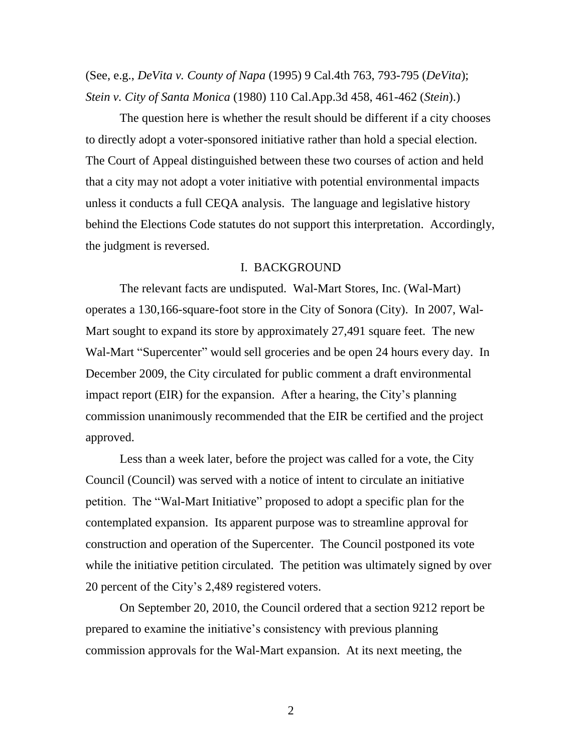(See, e.g., *DeVita v. County of Napa* (1995) 9 Cal.4th 763, 793-795 (*DeVita*); *Stein v. City of Santa Monica* (1980) 110 Cal.App.3d 458, 461-462 (*Stein*).)

The question here is whether the result should be different if a city chooses to directly adopt a voter-sponsored initiative rather than hold a special election. The Court of Appeal distinguished between these two courses of action and held that a city may not adopt a voter initiative with potential environmental impacts unless it conducts a full CEQA analysis. The language and legislative history behind the Elections Code statutes do not support this interpretation. Accordingly, the judgment is reversed.

### I. BACKGROUND

The relevant facts are undisputed. Wal-Mart Stores, Inc. (Wal-Mart) operates a 130,166-square-foot store in the City of Sonora (City). In 2007, Wal-Mart sought to expand its store by approximately 27,491 square feet. The new Wal-Mart "Supercenter" would sell groceries and be open 24 hours every day. In December 2009, the City circulated for public comment a draft environmental impact report (EIR) for the expansion. After a hearing, the City's planning commission unanimously recommended that the EIR be certified and the project approved.

Less than a week later, before the project was called for a vote, the City Council (Council) was served with a notice of intent to circulate an initiative petition. The "Wal-Mart Initiative" proposed to adopt a specific plan for the contemplated expansion. Its apparent purpose was to streamline approval for construction and operation of the Supercenter. The Council postponed its vote while the initiative petition circulated. The petition was ultimately signed by over 20 percent of the City's 2,489 registered voters.

On September 20, 2010, the Council ordered that a section 9212 report be prepared to examine the initiative's consistency with previous planning commission approvals for the Wal-Mart expansion. At its next meeting, the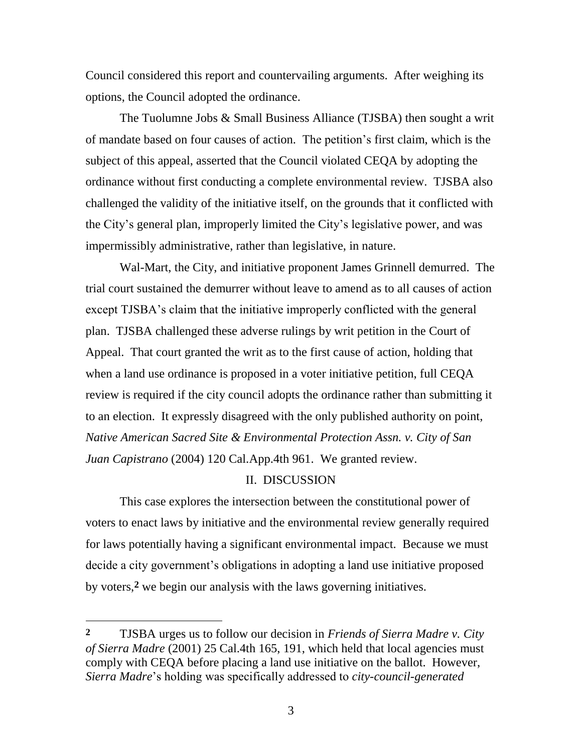Council considered this report and countervailing arguments. After weighing its options, the Council adopted the ordinance.

The Tuolumne Jobs & Small Business Alliance (TJSBA) then sought a writ of mandate based on four causes of action. The petition's first claim, which is the subject of this appeal, asserted that the Council violated CEQA by adopting the ordinance without first conducting a complete environmental review. TJSBA also challenged the validity of the initiative itself, on the grounds that it conflicted with the City's general plan, improperly limited the City's legislative power, and was impermissibly administrative, rather than legislative, in nature.

Wal-Mart, the City, and initiative proponent James Grinnell demurred. The trial court sustained the demurrer without leave to amend as to all causes of action except TJSBA's claim that the initiative improperly conflicted with the general plan. TJSBA challenged these adverse rulings by writ petition in the Court of Appeal. That court granted the writ as to the first cause of action, holding that when a land use ordinance is proposed in a voter initiative petition, full CEQA review is required if the city council adopts the ordinance rather than submitting it to an election. It expressly disagreed with the only published authority on point, *Native American Sacred Site & Environmental Protection Assn. v. City of San Juan Capistrano* (2004) 120 Cal.App.4th 961. We granted review.

## II. DISCUSSION

This case explores the intersection between the constitutional power of voters to enact laws by initiative and the environmental review generally required for laws potentially having a significant environmental impact. Because we must decide a city government's obligations in adopting a land use initiative proposed by voters, **2** we begin our analysis with the laws governing initiatives.

**<sup>2</sup>** TJSBA urges us to follow our decision in *Friends of Sierra Madre v. City of Sierra Madre* (2001) 25 Cal.4th 165, 191, which held that local agencies must comply with CEQA before placing a land use initiative on the ballot. However, *Sierra Madre*'s holding was specifically addressed to *city-council-generated*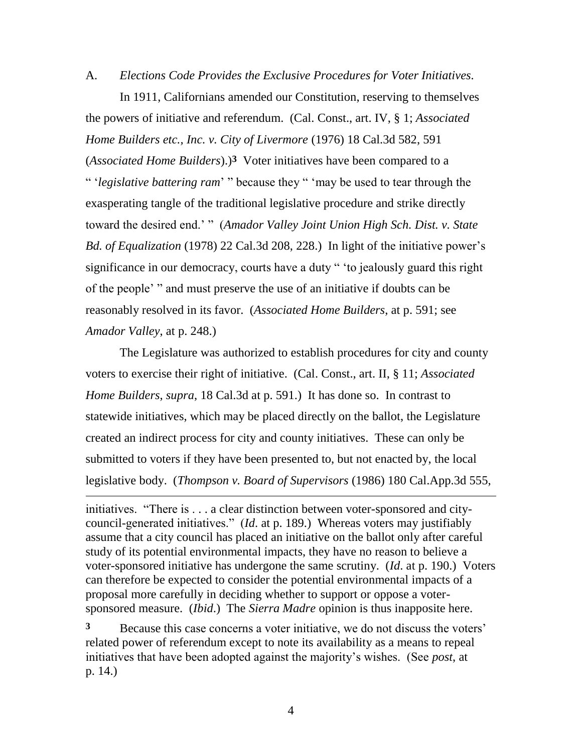A. *Elections Code Provides the Exclusive Procedures for Voter Initiatives.*

In 1911, Californians amended our Constitution, reserving to themselves the powers of initiative and referendum. (Cal. Const., art. IV, § 1; *Associated Home Builders etc., Inc. v. City of Livermore* (1976) 18 Cal.3d 582, 591 (*Associated Home Builders*).)**3** Voter initiatives have been compared to a " '*legislative battering ram*' " because they " 'may be used to tear through the exasperating tangle of the traditional legislative procedure and strike directly toward the desired end.' " (*Amador Valley Joint Union High Sch. Dist. v. State Bd. of Equalization* (1978) 22 Cal.3d 208, 228.) In light of the initiative power's significance in our democracy, courts have a duty " 'to jealously guard this right of the people' " and must preserve the use of an initiative if doubts can be reasonably resolved in its favor. (*Associated Home Builders*, at p. 591; see *Amador Valley*, at p. 248.)

The Legislature was authorized to establish procedures for city and county voters to exercise their right of initiative. (Cal. Const., art. II, § 11; *Associated Home Builders*, *supra*, 18 Cal.3d at p. 591.) It has done so. In contrast to statewide initiatives, which may be placed directly on the ballot, the Legislature created an indirect process for city and county initiatives. These can only be submitted to voters if they have been presented to, but not enacted by, the local legislative body. (*Thompson v. Board of Supervisors* (1986) 180 Cal.App.3d 555,

initiatives. "There is . . . a clear distinction between voter-sponsored and citycouncil-generated initiatives." (*Id*. at p. 189.) Whereas voters may justifiably assume that a city council has placed an initiative on the ballot only after careful study of its potential environmental impacts, they have no reason to believe a voter-sponsored initiative has undergone the same scrutiny. (*Id*. at p. 190.) Voters can therefore be expected to consider the potential environmental impacts of a proposal more carefully in deciding whether to support or oppose a votersponsored measure. (*Ibid*.) The *Sierra Madre* opinion is thus inapposite here.

 $\overline{a}$ 

**3** Because this case concerns a voter initiative, we do not discuss the voters' related power of referendum except to note its availability as a means to repeal initiatives that have been adopted against the majority's wishes. (See *post*, at p. 14.)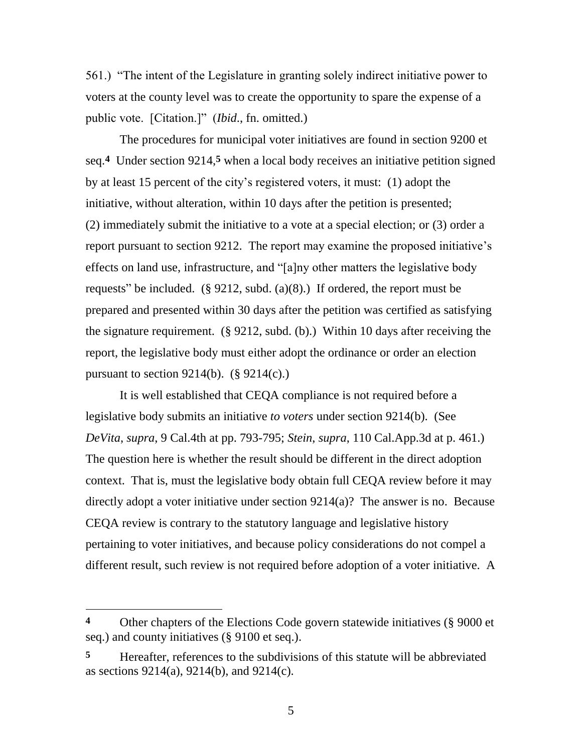561.) "The intent of the Legislature in granting solely indirect initiative power to voters at the county level was to create the opportunity to spare the expense of a public vote. [Citation.]" (*Ibid*., fn. omitted.)

The procedures for municipal voter initiatives are found in section 9200 et seq. **4** Under section 9214, **5** when a local body receives an initiative petition signed by at least 15 percent of the city's registered voters, it must: (1) adopt the initiative, without alteration, within 10 days after the petition is presented; (2) immediately submit the initiative to a vote at a special election; or (3) order a report pursuant to section 9212. The report may examine the proposed initiative's effects on land use, infrastructure, and "[a]ny other matters the legislative body requests" be included.  $(\S$  9212, subd.  $(a)(8)$ .) If ordered, the report must be prepared and presented within 30 days after the petition was certified as satisfying the signature requirement. (§ 9212, subd. (b).) Within 10 days after receiving the report, the legislative body must either adopt the ordinance or order an election pursuant to section 9214(b).  $(\S 9214(c))$ .

It is well established that CEQA compliance is not required before a legislative body submits an initiative *to voters* under section 9214(b). (See *DeVita*, *supra*, 9 Cal.4th at pp. 793-795; *Stein*, *supra*, 110 Cal.App.3d at p. 461.) The question here is whether the result should be different in the direct adoption context. That is, must the legislative body obtain full CEQA review before it may directly adopt a voter initiative under section 9214(a)? The answer is no. Because CEQA review is contrary to the statutory language and legislative history pertaining to voter initiatives, and because policy considerations do not compel a different result, such review is not required before adoption of a voter initiative. A

**<sup>4</sup>** Other chapters of the Elections Code govern statewide initiatives (§ 9000 et seq.) and county initiatives (§ 9100 et seq.).

**<sup>5</sup>** Hereafter, references to the subdivisions of this statute will be abbreviated as sections 9214(a), 9214(b), and 9214(c).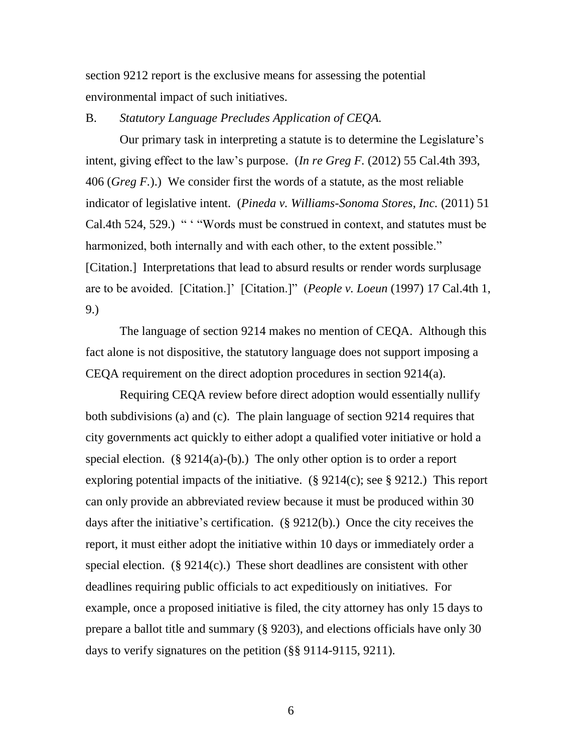section 9212 report is the exclusive means for assessing the potential environmental impact of such initiatives.

### B. *Statutory Language Precludes Application of CEQA.*

Our primary task in interpreting a statute is to determine the Legislature's intent, giving effect to the law's purpose. (*In re Greg F.* (2012) 55 Cal.4th 393, 406 (*Greg F.*).) We consider first the words of a statute, as the most reliable indicator of legislative intent. (*Pineda v. Williams-Sonoma Stores, Inc.* (2011) 51 Cal.4th 524, 529.) " ' "Words must be construed in context, and statutes must be harmonized, both internally and with each other, to the extent possible." [Citation.] Interpretations that lead to absurd results or render words surplusage are to be avoided. [Citation.]' [Citation.]" (*People v. Loeun* (1997) 17 Cal.4th 1, 9.)

The language of section 9214 makes no mention of CEQA. Although this fact alone is not dispositive, the statutory language does not support imposing a CEQA requirement on the direct adoption procedures in section 9214(a).

Requiring CEQA review before direct adoption would essentially nullify both subdivisions (a) and (c). The plain language of section 9214 requires that city governments act quickly to either adopt a qualified voter initiative or hold a special election.  $(\S 9214(a)-(b))$ . The only other option is to order a report exploring potential impacts of the initiative. (§ 9214(c); see § 9212.) This report can only provide an abbreviated review because it must be produced within 30 days after the initiative's certification. (§ 9212(b).) Once the city receives the report, it must either adopt the initiative within 10 days or immediately order a special election.  $(\S 9214(c))$  These short deadlines are consistent with other deadlines requiring public officials to act expeditiously on initiatives. For example, once a proposed initiative is filed, the city attorney has only 15 days to prepare a ballot title and summary (§ 9203), and elections officials have only 30 days to verify signatures on the petition (§§ 9114-9115, 9211).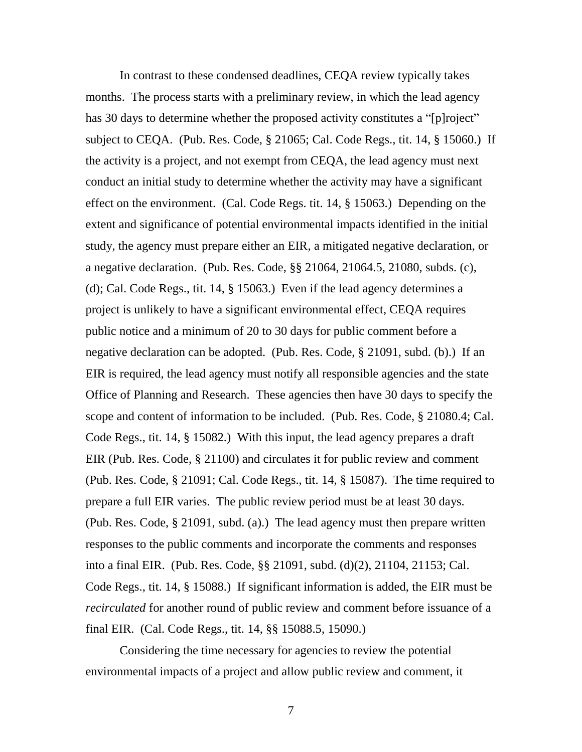In contrast to these condensed deadlines, CEQA review typically takes months. The process starts with a preliminary review, in which the lead agency has 30 days to determine whether the proposed activity constitutes a "[p]roject" subject to CEQA. (Pub. Res. Code, § 21065; Cal. Code Regs., tit. 14, § 15060.) If the activity is a project, and not exempt from CEQA, the lead agency must next conduct an initial study to determine whether the activity may have a significant effect on the environment. (Cal. Code Regs. tit. 14, § 15063.) Depending on the extent and significance of potential environmental impacts identified in the initial study, the agency must prepare either an EIR, a mitigated negative declaration, or a negative declaration. (Pub. Res. Code, §§ 21064, 21064.5, 21080, subds. (c), (d); Cal. Code Regs., tit. 14, § 15063.) Even if the lead agency determines a project is unlikely to have a significant environmental effect, CEQA requires public notice and a minimum of 20 to 30 days for public comment before a negative declaration can be adopted. (Pub. Res. Code, § 21091, subd. (b).) If an EIR is required, the lead agency must notify all responsible agencies and the state Office of Planning and Research. These agencies then have 30 days to specify the scope and content of information to be included. (Pub. Res. Code, § 21080.4; Cal. Code Regs., tit. 14, § 15082.) With this input, the lead agency prepares a draft EIR (Pub. Res. Code, § 21100) and circulates it for public review and comment (Pub. Res. Code, § 21091; Cal. Code Regs., tit. 14, § 15087). The time required to prepare a full EIR varies. The public review period must be at least 30 days. (Pub. Res. Code, § 21091, subd. (a).) The lead agency must then prepare written responses to the public comments and incorporate the comments and responses into a final EIR. (Pub. Res. Code, §§ 21091, subd. (d)(2), 21104, 21153; Cal. Code Regs., tit. 14, § 15088.) If significant information is added, the EIR must be *recirculated* for another round of public review and comment before issuance of a final EIR. (Cal. Code Regs., tit. 14, §§ 15088.5, 15090.)

Considering the time necessary for agencies to review the potential environmental impacts of a project and allow public review and comment, it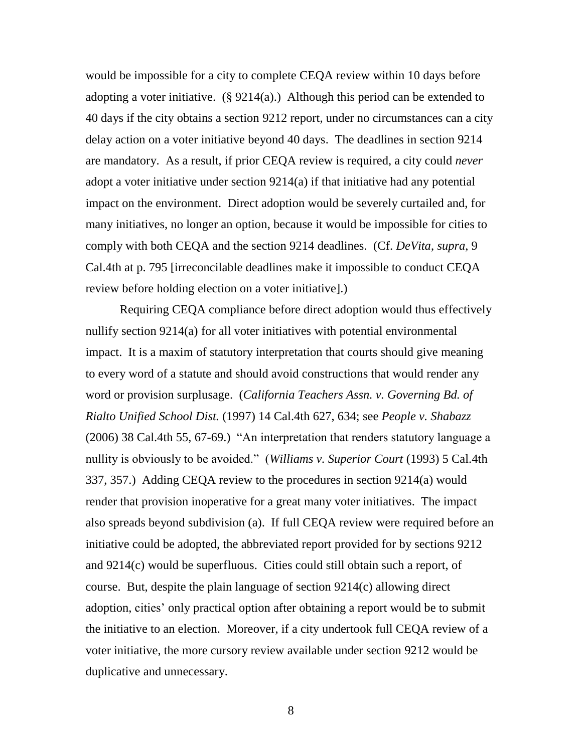would be impossible for a city to complete CEQA review within 10 days before adopting a voter initiative.  $(\S 9214(a))$  Although this period can be extended to 40 days if the city obtains a section 9212 report, under no circumstances can a city delay action on a voter initiative beyond 40 days. The deadlines in section 9214 are mandatory. As a result, if prior CEQA review is required, a city could *never* adopt a voter initiative under section 9214(a) if that initiative had any potential impact on the environment. Direct adoption would be severely curtailed and, for many initiatives, no longer an option, because it would be impossible for cities to comply with both CEQA and the section 9214 deadlines. (Cf. *DeVita*, *supra*, 9 Cal.4th at p. 795 [irreconcilable deadlines make it impossible to conduct CEQA review before holding election on a voter initiative].)

Requiring CEQA compliance before direct adoption would thus effectively nullify section 9214(a) for all voter initiatives with potential environmental impact. It is a maxim of statutory interpretation that courts should give meaning to every word of a statute and should avoid constructions that would render any word or provision surplusage. (*California Teachers Assn. v. Governing Bd. of Rialto Unified School Dist.* (1997) 14 Cal.4th 627, 634; see *People v. Shabazz*  (2006) 38 Cal.4th 55, 67-69.) "An interpretation that renders statutory language a nullity is obviously to be avoided." (*Williams v. Superior Court* (1993) 5 Cal.4th 337, 357.) Adding CEQA review to the procedures in section 9214(a) would render that provision inoperative for a great many voter initiatives. The impact also spreads beyond subdivision (a). If full CEQA review were required before an initiative could be adopted, the abbreviated report provided for by sections 9212 and 9214(c) would be superfluous. Cities could still obtain such a report, of course. But, despite the plain language of section 9214(c) allowing direct adoption, cities' only practical option after obtaining a report would be to submit the initiative to an election. Moreover, if a city undertook full CEQA review of a voter initiative, the more cursory review available under section 9212 would be duplicative and unnecessary.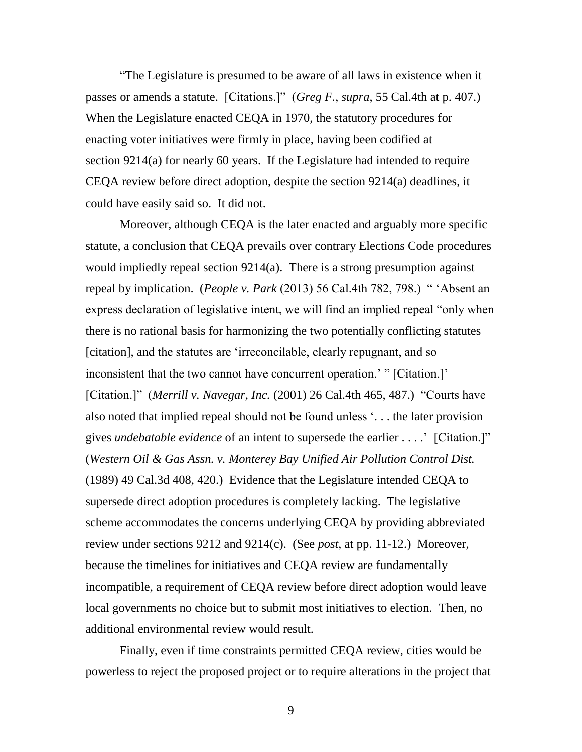"The Legislature is presumed to be aware of all laws in existence when it passes or amends a statute. [Citations.]" (*Greg F.*, *supra*, 55 Cal.4th at p. 407.) When the Legislature enacted CEQA in 1970, the statutory procedures for enacting voter initiatives were firmly in place, having been codified at section 9214(a) for nearly 60 years. If the Legislature had intended to require CEQA review before direct adoption, despite the section 9214(a) deadlines, it could have easily said so. It did not.

Moreover, although CEQA is the later enacted and arguably more specific statute, a conclusion that CEQA prevails over contrary Elections Code procedures would impliedly repeal section 9214(a). There is a strong presumption against repeal by implication. (*People v. Park* (2013) 56 Cal.4th 782, 798.) " 'Absent an express declaration of legislative intent, we will find an implied repeal "only when there is no rational basis for harmonizing the two potentially conflicting statutes [citation], and the statutes are 'irreconcilable, clearly repugnant, and so inconsistent that the two cannot have concurrent operation.' " [Citation.]' [Citation.]" (*Merrill v. Navegar, Inc.* (2001) 26 Cal.4th 465, 487.) "Courts have also noted that implied repeal should not be found unless '. . . the later provision gives *undebatable evidence* of an intent to supersede the earlier . . . .' [Citation.]" (*Western Oil & Gas Assn. v. Monterey Bay Unified Air Pollution Control Dist.* (1989) 49 Cal.3d 408, 420.) Evidence that the Legislature intended CEQA to supersede direct adoption procedures is completely lacking. The legislative scheme accommodates the concerns underlying CEQA by providing abbreviated review under sections 9212 and 9214(c). (See *post*, at pp. 11-12.) Moreover, because the timelines for initiatives and CEQA review are fundamentally incompatible, a requirement of CEQA review before direct adoption would leave local governments no choice but to submit most initiatives to election. Then, no additional environmental review would result.

Finally, even if time constraints permitted CEQA review, cities would be powerless to reject the proposed project or to require alterations in the project that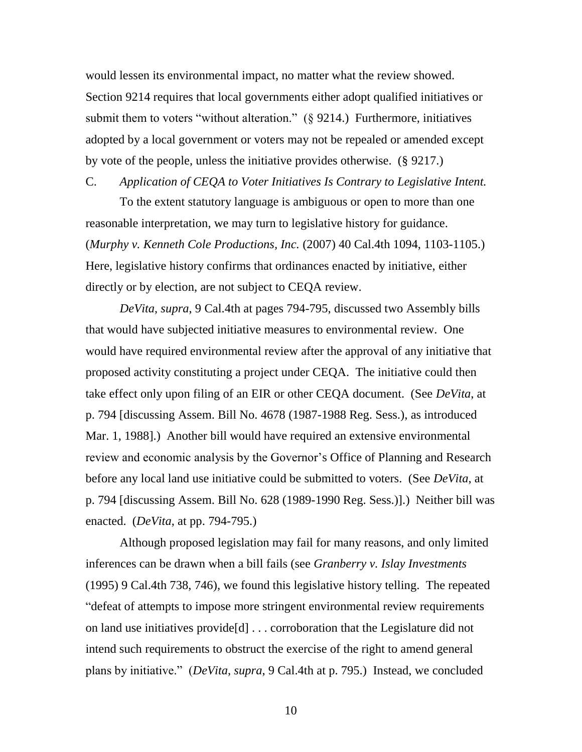would lessen its environmental impact, no matter what the review showed. Section 9214 requires that local governments either adopt qualified initiatives or submit them to voters "without alteration." (§ 9214.) Furthermore, initiatives adopted by a local government or voters may not be repealed or amended except by vote of the people, unless the initiative provides otherwise. (§ 9217.)

C. *Application of CEQA to Voter Initiatives Is Contrary to Legislative Intent.*

To the extent statutory language is ambiguous or open to more than one reasonable interpretation, we may turn to legislative history for guidance. (*Murphy v. Kenneth Cole Productions, Inc.* (2007) 40 Cal.4th 1094, 1103-1105.) Here, legislative history confirms that ordinances enacted by initiative, either directly or by election, are not subject to CEQA review.

*DeVita*, *supra*, 9 Cal.4th at pages 794-795, discussed two Assembly bills that would have subjected initiative measures to environmental review. One would have required environmental review after the approval of any initiative that proposed activity constituting a project under CEQA. The initiative could then take effect only upon filing of an EIR or other CEQA document. (See *DeVita*, at p. 794 [discussing Assem. Bill No. 4678 (1987-1988 Reg. Sess.), as introduced Mar. 1, 1988].) Another bill would have required an extensive environmental review and economic analysis by the Governor's Office of Planning and Research before any local land use initiative could be submitted to voters. (See *DeVita*, at p. 794 [discussing Assem. Bill No. 628 (1989-1990 Reg. Sess.)].) Neither bill was enacted. (*DeVita*, at pp. 794-795.)

Although proposed legislation may fail for many reasons, and only limited inferences can be drawn when a bill fails (see *Granberry v. Islay Investments* (1995) 9 Cal.4th 738, 746), we found this legislative history telling. The repeated "defeat of attempts to impose more stringent environmental review requirements on land use initiatives provide[d] . . . corroboration that the Legislature did not intend such requirements to obstruct the exercise of the right to amend general plans by initiative." (*DeVita*, *supra*, 9 Cal.4th at p. 795.) Instead, we concluded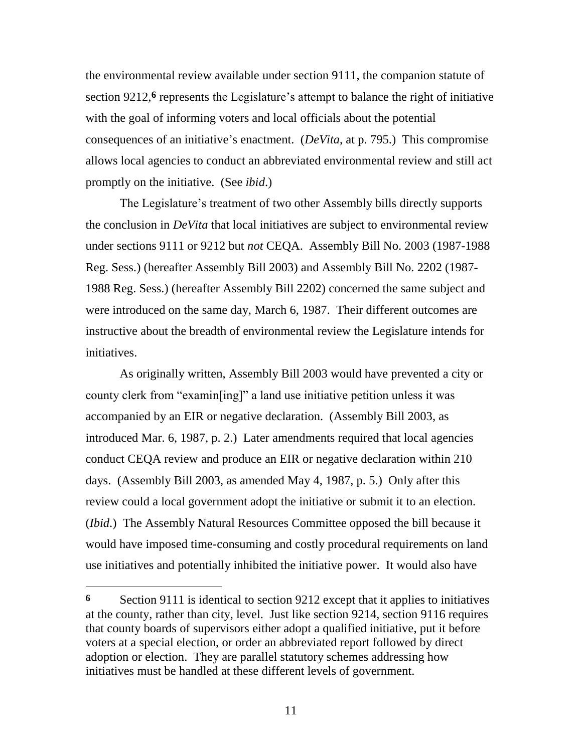the environmental review available under section 9111, the companion statute of section 9212,<sup>6</sup> represents the Legislature's attempt to balance the right of initiative with the goal of informing voters and local officials about the potential consequences of an initiative's enactment. (*DeVita*, at p. 795.) This compromise allows local agencies to conduct an abbreviated environmental review and still act promptly on the initiative. (See *ibid*.)

The Legislature's treatment of two other Assembly bills directly supports the conclusion in *DeVita* that local initiatives are subject to environmental review under sections 9111 or 9212 but *not* CEQA. Assembly Bill No. 2003 (1987-1988 Reg. Sess.) (hereafter Assembly Bill 2003) and Assembly Bill No. 2202 (1987- 1988 Reg. Sess.) (hereafter Assembly Bill 2202) concerned the same subject and were introduced on the same day, March 6, 1987. Their different outcomes are instructive about the breadth of environmental review the Legislature intends for initiatives.

As originally written, Assembly Bill 2003 would have prevented a city or county clerk from "examin[ing]" a land use initiative petition unless it was accompanied by an EIR or negative declaration. (Assembly Bill 2003, as introduced Mar. 6, 1987, p. 2.) Later amendments required that local agencies conduct CEQA review and produce an EIR or negative declaration within 210 days. (Assembly Bill 2003, as amended May 4, 1987, p. 5.) Only after this review could a local government adopt the initiative or submit it to an election. (*Ibid*.) The Assembly Natural Resources Committee opposed the bill because it would have imposed time-consuming and costly procedural requirements on land use initiatives and potentially inhibited the initiative power. It would also have

 $\overline{a}$ 

**<sup>6</sup>** Section 9111 is identical to section 9212 except that it applies to initiatives at the county, rather than city, level. Just like section 9214, section 9116 requires that county boards of supervisors either adopt a qualified initiative, put it before voters at a special election, or order an abbreviated report followed by direct adoption or election. They are parallel statutory schemes addressing how initiatives must be handled at these different levels of government.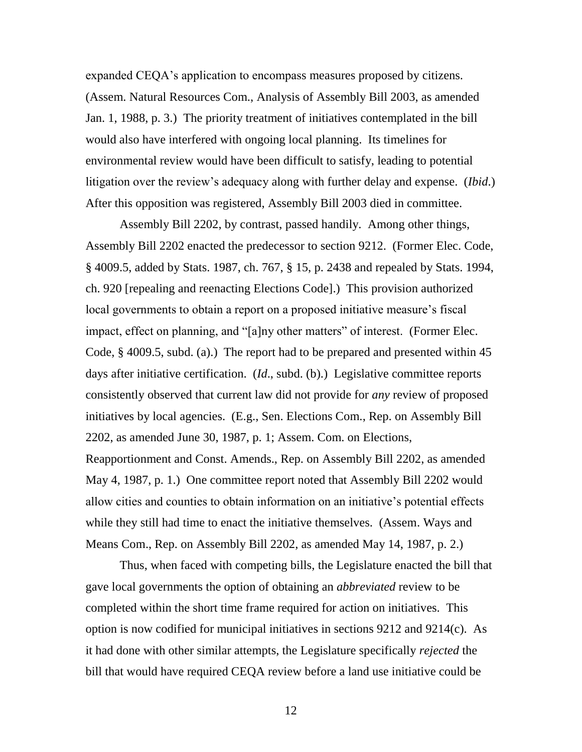expanded CEQA's application to encompass measures proposed by citizens. (Assem. Natural Resources Com., Analysis of Assembly Bill 2003, as amended Jan. 1, 1988, p. 3.) The priority treatment of initiatives contemplated in the bill would also have interfered with ongoing local planning. Its timelines for environmental review would have been difficult to satisfy, leading to potential litigation over the review's adequacy along with further delay and expense. (*Ibid*.) After this opposition was registered, Assembly Bill 2003 died in committee.

Assembly Bill 2202, by contrast, passed handily. Among other things, Assembly Bill 2202 enacted the predecessor to section 9212. (Former Elec. Code, § 4009.5, added by Stats. 1987, ch. 767, § 15, p. 2438 and repealed by Stats. 1994, ch. 920 [repealing and reenacting Elections Code].) This provision authorized local governments to obtain a report on a proposed initiative measure's fiscal impact, effect on planning, and "[a]ny other matters" of interest. (Former Elec. Code, § 4009.5, subd. (a).) The report had to be prepared and presented within 45 days after initiative certification. (*Id*., subd. (b).) Legislative committee reports consistently observed that current law did not provide for *any* review of proposed initiatives by local agencies. (E.g., Sen. Elections Com., Rep. on Assembly Bill 2202, as amended June 30, 1987, p. 1; Assem. Com. on Elections, Reapportionment and Const. Amends., Rep. on Assembly Bill 2202, as amended May 4, 1987, p. 1.) One committee report noted that Assembly Bill 2202 would allow cities and counties to obtain information on an initiative's potential effects while they still had time to enact the initiative themselves. (Assem. Ways and Means Com., Rep. on Assembly Bill 2202, as amended May 14, 1987, p. 2.)

Thus, when faced with competing bills, the Legislature enacted the bill that gave local governments the option of obtaining an *abbreviated* review to be completed within the short time frame required for action on initiatives. This option is now codified for municipal initiatives in sections 9212 and 9214(c). As it had done with other similar attempts, the Legislature specifically *rejected* the bill that would have required CEQA review before a land use initiative could be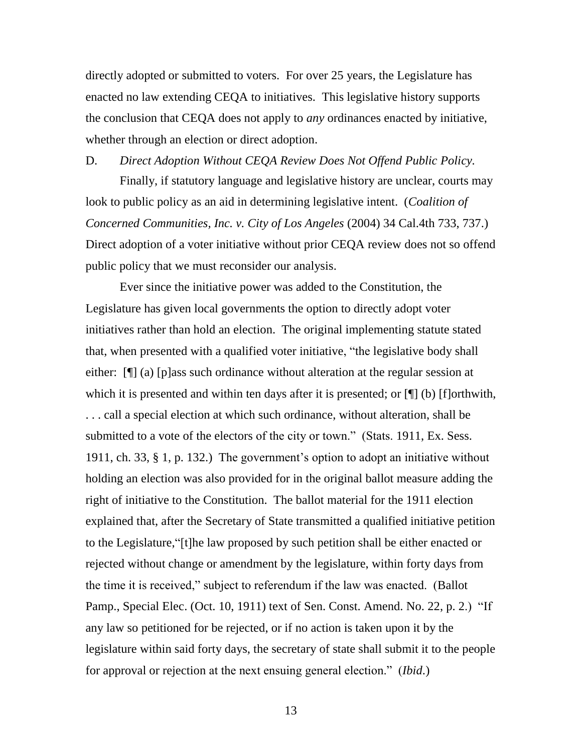directly adopted or submitted to voters. For over 25 years, the Legislature has enacted no law extending CEQA to initiatives. This legislative history supports the conclusion that CEQA does not apply to *any* ordinances enacted by initiative, whether through an election or direct adoption.

D. *Direct Adoption Without CEQA Review Does Not Offend Public Policy.*

Finally, if statutory language and legislative history are unclear, courts may look to public policy as an aid in determining legislative intent. (*Coalition of Concerned Communities, Inc. v. City of Los Angeles* (2004) 34 Cal.4th 733, 737.) Direct adoption of a voter initiative without prior CEQA review does not so offend public policy that we must reconsider our analysis.

Ever since the initiative power was added to the Constitution, the Legislature has given local governments the option to directly adopt voter initiatives rather than hold an election. The original implementing statute stated that, when presented with a qualified voter initiative, "the legislative body shall either: [¶] (a) [p]ass such ordinance without alteration at the regular session at which it is presented and within ten days after it is presented; or  $[\n\mathcal{L}]$  (b) [f]orthwith, . . . call a special election at which such ordinance, without alteration, shall be submitted to a vote of the electors of the city or town." (Stats. 1911, Ex. Sess. 1911, ch. 33, § 1, p. 132.) The government's option to adopt an initiative without holding an election was also provided for in the original ballot measure adding the right of initiative to the Constitution. The ballot material for the 1911 election explained that, after the Secretary of State transmitted a qualified initiative petition to the Legislature,"[t]he law proposed by such petition shall be either enacted or rejected without change or amendment by the legislature, within forty days from the time it is received," subject to referendum if the law was enacted. (Ballot Pamp., Special Elec. (Oct. 10, 1911) text of Sen. Const. Amend. No. 22, p. 2.) "If any law so petitioned for be rejected, or if no action is taken upon it by the legislature within said forty days, the secretary of state shall submit it to the people for approval or rejection at the next ensuing general election." (*Ibid*.)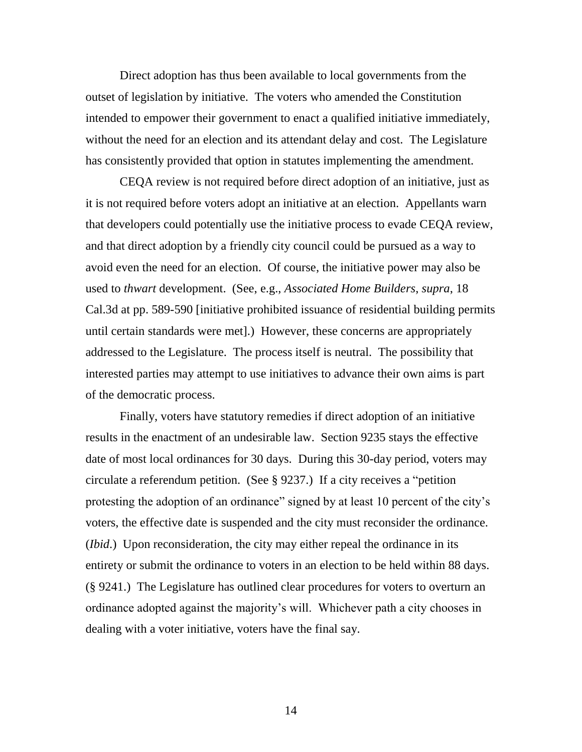Direct adoption has thus been available to local governments from the outset of legislation by initiative. The voters who amended the Constitution intended to empower their government to enact a qualified initiative immediately, without the need for an election and its attendant delay and cost. The Legislature has consistently provided that option in statutes implementing the amendment.

CEQA review is not required before direct adoption of an initiative, just as it is not required before voters adopt an initiative at an election. Appellants warn that developers could potentially use the initiative process to evade CEQA review, and that direct adoption by a friendly city council could be pursued as a way to avoid even the need for an election. Of course, the initiative power may also be used to *thwart* development. (See, e.g., *Associated Home Builders*, *supra*, 18 Cal.3d at pp. 589-590 [initiative prohibited issuance of residential building permits until certain standards were met].) However, these concerns are appropriately addressed to the Legislature. The process itself is neutral. The possibility that interested parties may attempt to use initiatives to advance their own aims is part of the democratic process.

Finally, voters have statutory remedies if direct adoption of an initiative results in the enactment of an undesirable law. Section 9235 stays the effective date of most local ordinances for 30 days. During this 30-day period, voters may circulate a referendum petition. (See § 9237.) If a city receives a "petition protesting the adoption of an ordinance" signed by at least 10 percent of the city's voters, the effective date is suspended and the city must reconsider the ordinance. (*Ibid*.) Upon reconsideration, the city may either repeal the ordinance in its entirety or submit the ordinance to voters in an election to be held within 88 days. (§ 9241.) The Legislature has outlined clear procedures for voters to overturn an ordinance adopted against the majority's will. Whichever path a city chooses in dealing with a voter initiative, voters have the final say.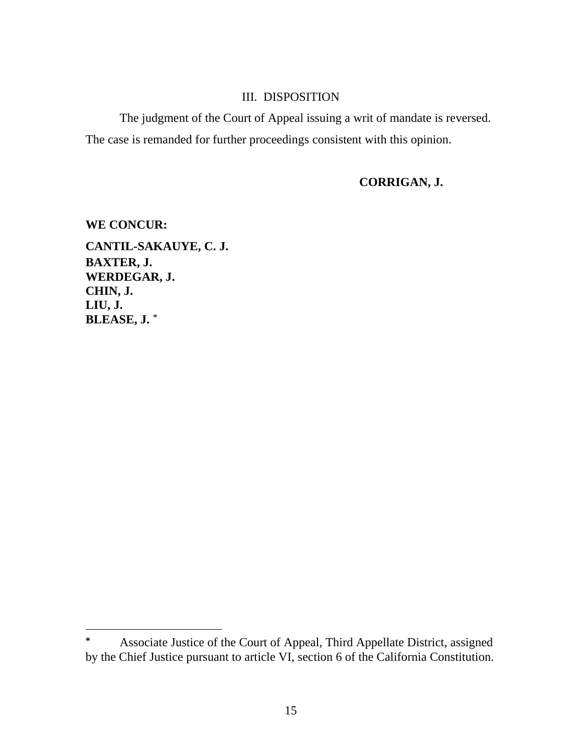# III. DISPOSITION

The judgment of the Court of Appeal issuing a writ of mandate is reversed. The case is remanded for further proceedings consistent with this opinion.

# **CORRIGAN, J.**

**WE CONCUR: CANTIL-SAKAUYE, C. J. BAXTER, J. WERDEGAR, J. CHIN, J. LIU, J. BLEASE, J.** \*

**<sup>\*</sup>** Associate Justice of the Court of Appeal, Third Appellate District, assigned by the Chief Justice pursuant to article VI, section 6 of the California Constitution.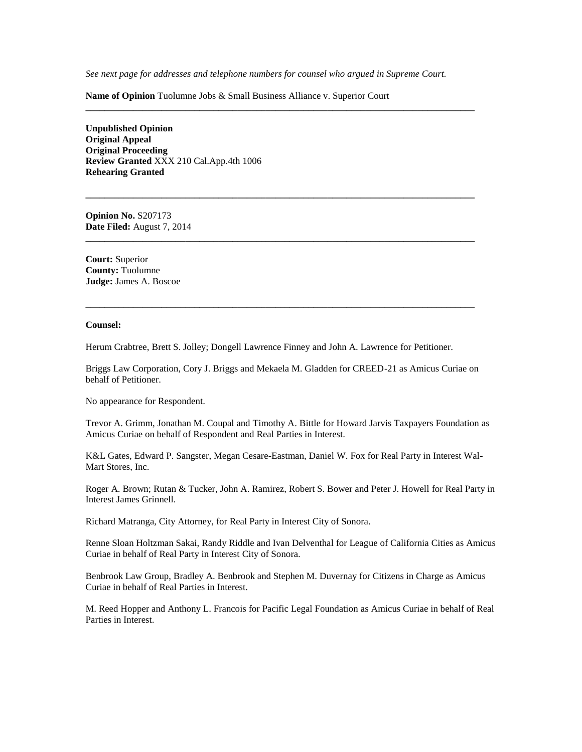*See next page for addresses and telephone numbers for counsel who argued in Supreme Court.*

**\_\_\_\_\_\_\_\_\_\_\_\_\_\_\_\_\_\_\_\_\_\_\_\_\_\_\_\_\_\_\_\_\_\_\_\_\_\_\_\_\_\_\_\_\_\_\_\_\_\_\_\_\_\_\_\_\_\_\_\_\_\_\_\_\_\_\_\_\_\_\_\_\_\_\_\_\_\_\_\_\_\_**

**\_\_\_\_\_\_\_\_\_\_\_\_\_\_\_\_\_\_\_\_\_\_\_\_\_\_\_\_\_\_\_\_\_\_\_\_\_\_\_\_\_\_\_\_\_\_\_\_\_\_\_\_\_\_\_\_\_\_\_\_\_\_\_\_\_\_\_\_\_\_\_\_\_\_\_\_\_\_\_\_\_\_**

**\_\_\_\_\_\_\_\_\_\_\_\_\_\_\_\_\_\_\_\_\_\_\_\_\_\_\_\_\_\_\_\_\_\_\_\_\_\_\_\_\_\_\_\_\_\_\_\_\_\_\_\_\_\_\_\_\_\_\_\_\_\_\_\_\_\_\_\_\_\_\_\_\_\_\_\_\_\_\_\_\_\_**

**\_\_\_\_\_\_\_\_\_\_\_\_\_\_\_\_\_\_\_\_\_\_\_\_\_\_\_\_\_\_\_\_\_\_\_\_\_\_\_\_\_\_\_\_\_\_\_\_\_\_\_\_\_\_\_\_\_\_\_\_\_\_\_\_\_\_\_\_\_\_\_\_\_\_\_\_\_\_\_\_\_\_**

**Name of Opinion** Tuolumne Jobs & Small Business Alliance v. Superior Court

**Unpublished Opinion Original Appeal Original Proceeding Review Granted** XXX 210 Cal.App.4th 1006 **Rehearing Granted**

**Opinion No.** S207173 **Date Filed:** August 7, 2014

**Court:** Superior **County:** Tuolumne **Judge:** James A. Boscoe

#### **Counsel:**

Herum Crabtree, Brett S. Jolley; Dongell Lawrence Finney and John A. Lawrence for Petitioner.

Briggs Law Corporation, Cory J. Briggs and Mekaela M. Gladden for CREED-21 as Amicus Curiae on behalf of Petitioner.

No appearance for Respondent.

Trevor A. Grimm, Jonathan M. Coupal and Timothy A. Bittle for Howard Jarvis Taxpayers Foundation as Amicus Curiae on behalf of Respondent and Real Parties in Interest.

K&L Gates, Edward P. Sangster, Megan Cesare-Eastman, Daniel W. Fox for Real Party in Interest Wal-Mart Stores, Inc.

Roger A. Brown; Rutan & Tucker, John A. Ramirez, Robert S. Bower and Peter J. Howell for Real Party in Interest James Grinnell.

Richard Matranga, City Attorney, for Real Party in Interest City of Sonora.

Renne Sloan Holtzman Sakai, Randy Riddle and Ivan Delventhal for League of California Cities as Amicus Curiae in behalf of Real Party in Interest City of Sonora.

Benbrook Law Group, Bradley A. Benbrook and Stephen M. Duvernay for Citizens in Charge as Amicus Curiae in behalf of Real Parties in Interest.

M. Reed Hopper and Anthony L. Francois for Pacific Legal Foundation as Amicus Curiae in behalf of Real Parties in Interest.